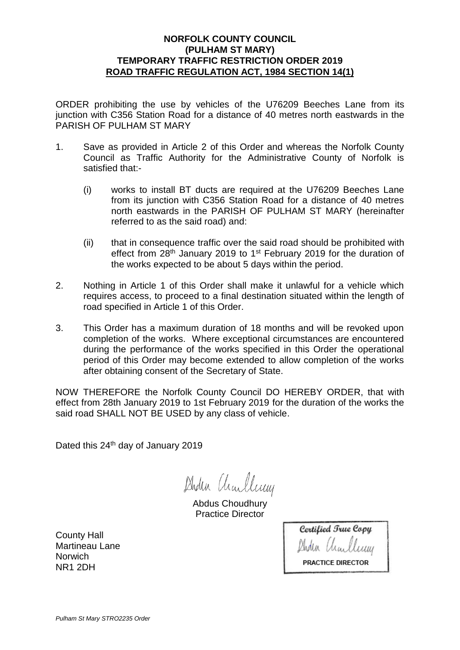## **NORFOLK COUNTY COUNCIL (PULHAM ST MARY) TEMPORARY TRAFFIC RESTRICTION ORDER 2019 ROAD TRAFFIC REGULATION ACT, 1984 SECTION 14(1)**

ORDER prohibiting the use by vehicles of the U76209 Beeches Lane from its junction with C356 Station Road for a distance of 40 metres north eastwards in the PARISH OF PULHAM ST MARY

- 1. Save as provided in Article 2 of this Order and whereas the Norfolk County Council as Traffic Authority for the Administrative County of Norfolk is satisfied that:-
	- (i) works to install BT ducts are required at the U76209 Beeches Lane from its junction with C356 Station Road for a distance of 40 metres north eastwards in the PARISH OF PULHAM ST MARY (hereinafter referred to as the said road) and:
	- (ii) that in consequence traffic over the said road should be prohibited with effect from 28<sup>th</sup> January 2019 to 1<sup>st</sup> February 2019 for the duration of the works expected to be about 5 days within the period.
- 2. Nothing in Article 1 of this Order shall make it unlawful for a vehicle which requires access, to proceed to a final destination situated within the length of road specified in Article 1 of this Order.
- 3. This Order has a maximum duration of 18 months and will be revoked upon completion of the works. Where exceptional circumstances are encountered during the performance of the works specified in this Order the operational period of this Order may become extended to allow completion of the works after obtaining consent of the Secretary of State.

NOW THEREFORE the Norfolk County Council DO HEREBY ORDER, that with effect from 28th January 2019 to 1st February 2019 for the duration of the works the said road SHALL NOT BE USED by any class of vehicle.

Dated this 24<sup>th</sup> day of January 2019

Duden Charleney

Abdus Choudhury Practice Director

County Hall Martineau Lane **Norwich** NR1 2DH

Certified True Copy Aden Charle PRACTICE DIRECTOR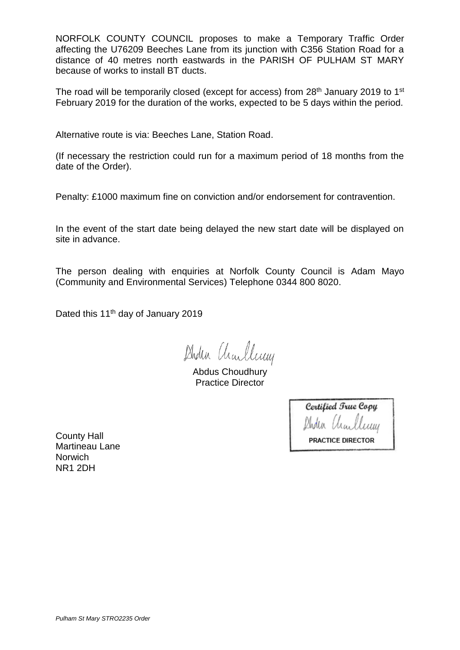NORFOLK COUNTY COUNCIL proposes to make a Temporary Traffic Order affecting the U76209 Beeches Lane from its junction with C356 Station Road for a distance of 40 metres north eastwards in the PARISH OF PULHAM ST MARY because of works to install BT ducts.

The road will be temporarily closed (except for access) from 28<sup>th</sup> January 2019 to 1<sup>st</sup> February 2019 for the duration of the works, expected to be 5 days within the period.

Alternative route is via: Beeches Lane, Station Road.

(If necessary the restriction could run for a maximum period of 18 months from the date of the Order).

Penalty: £1000 maximum fine on conviction and/or endorsement for contravention.

In the event of the start date being delayed the new start date will be displayed on site in advance.

The person dealing with enquiries at Norfolk County Council is Adam Mayo (Community and Environmental Services) Telephone 0344 800 8020.

Dated this 11<sup>th</sup> day of January 2019

Duden Charleney

Abdus Choudhury Practice Director

| Certified True Copy      |                 |  |
|--------------------------|-----------------|--|
|                          | Ander Unulleney |  |
| <b>PRACTICE DIRECTOR</b> |                 |  |

County Hall Martineau Lane **Norwich** NR1 2DH